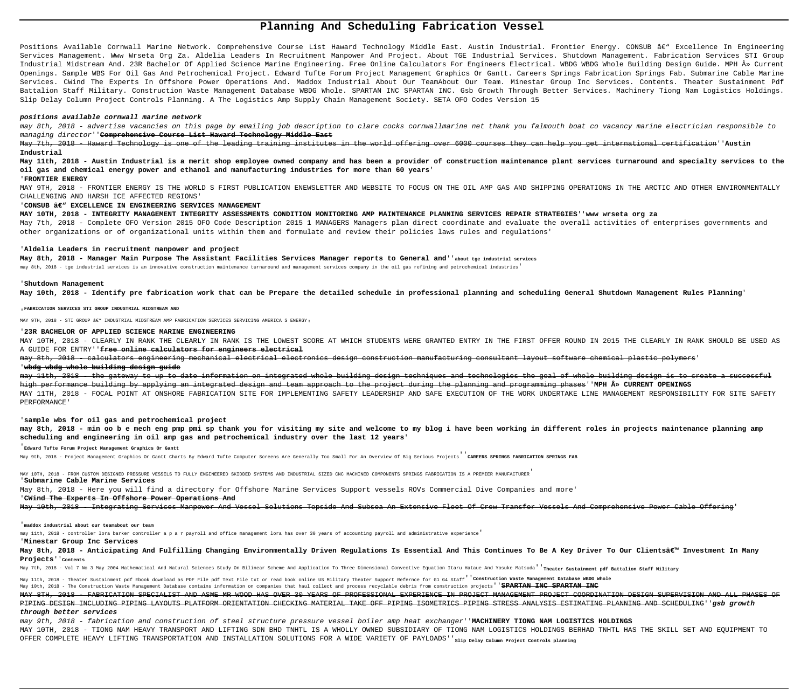# **Planning And Scheduling Fabrication Vessel**

Positions Available Cornwall Marine Network. Comprehensive Course List Haward Technology Middle East. Austin Industrial. Frontier Energy. CONSUB â€" Excellence In Engineering Services Management. Www Wrseta Org Za. Aldelia Leaders In Recruitment Manpower And Project. About TGE Industrial Services. Shutdown Management. Fabrication Services STI Group Industrial Midstream And. 23R Bachelor Of Applied Science Marine Engineering. Free Online Calculators For Engineers Electrical. WBDG WBDG Whole Building Design Guide. MPH » Current Openings. Sample WBS For Oil Gas And Petrochemical Project. Edward Tufte Forum Project Management Graphics Or Gantt. Careers Springs Fabrication Springs Fab. Submarine Cable Marine Services. CWind The Experts In Offshore Power Operations And. Maddox Industrial About Our TeamAbout Our Team. Minestar Group Inc Services. Contents. Theater Sustainment Pdf Battalion Staff Military. Construction Waste Management Database WBDG Whole. SPARTAN INC SPARTAN INC. Gsb Growth Through Better Services. Machinery Tiong Nam Logistics Holdings. Slip Delay Column Project Controls Planning. A The Logistics Amp Supply Chain Management Society. SETA OFO Codes Version 15

### **positions available cornwall marine network**

may 8th, 2018 - advertise vacancies on this page by emailing job description to clare cocks cornwallmarine net thank you falmouth boat co vacancy marine electrician responsible to managing director''**Comprehensive Course List Haward Technology Middle East**

May 7th, 2018 - Haward Technology is one of the leading training institutes in the world offering over 6000 courses they can help you get international certification''**Austin Industrial**

**May 11th, 2018 - Austin Industrial is a merit shop employee owned company and has been a provider of construction maintenance plant services turnaround and specialty services to the oil gas and chemical energy power and ethanol and manufacturing industries for more than 60 years**'

# may 8th, 2018 - calculators engineering mechanical electrical electronics design construction manufacturing consultant layout software chemical plastic polymers' '**wbdg wbdg whole building design guide**

# '**FRONTIER ENERGY**

MAY 9TH, 2018 - FRONTIER ENERGY IS THE WORLD S FIRST PUBLICATION ENEWSLETTER AND WEBSITE TO FOCUS ON THE OIL AMP GAS AND SHIPPING OPERATIONS IN THE ARCTIC AND OTHER ENVIRONMENTALLY CHALLENGING AND HARSH ICE AFFECTED REGIONS'

# 'CONSUB â€<sup>''</sup> EXCELLENCE IN ENGINEERING SERVICES MANAGEMENT

may 11th, 2018 - the gateway to up to date information on integrated whole building design techniques and technologies the goal of whole building design is to create a successful high performance building by applying an integrated design and team approach to the project during the planning and programming phases''MPH  $\hat{A}$ » CURRENT OPENINGS MAY 11TH, 2018 - FOCAL POINT AT ONSHORE FABRICATION SITE FOR IMPLEMENTING SAFETY LEADERSHIP AND SAFE EXECUTION OF THE WORK UNDERTAKE LINE MANAGEMENT RESPONSIBILITY FOR SITE SAFETY PERFORMANCE'

**MAY 10TH, 2018 - INTEGRITY MANAGEMENT INTEGRITY ASSESSMENTS CONDITION MONITORING AMP MAINTENANCE PLANNING SERVICES REPAIR STRATEGIES**''**www wrseta org za** May 7th, 2018 - Complete OFO Version 2015 OFO Code Description 2015 1 MANAGERS Managers plan direct coordinate and evaluate the overall activities of enterprises governments and other organizations or of organizational units within them and formulate and review their policies laws rules and regulations'

#### '**Aldelia Leaders in recruitment manpower and project**

**May 8th, 2018 - Manager Main Purpose The Assistant Facilities Services Manager reports to General and**''**about tge industrial services**

may 8th, 2018 - tge industrial services is an innovative construction maintenance turnaround and management services company in the oil gas refining and petrochemical industries'

May 8th, 2018 - Anticipating And Fulfilling Changing Environmentally Driven Regulations Is Essential And This Continues To Be A Key Driver To Our Clients' Investment In Many **Projects**''**Contents**

May 7th, 2018 - Vol 7 No 3 May 2004 Mathematical And Natural Sciences Study On Bilinear Scheme And Application To Three Dimensional Convective Equation Itaru Hataue And Yosuke Matsuda<sup>'</sup> Theater Sustainment pdf Battalion S

## '**Shutdown Management**

**May 10th, 2018 - Identify pre fabrication work that can be Prepare the detailed schedule in professional planning and scheduling General Shutdown Management Rules Planning**'

'**FABRICATION SERVICES STI GROUP INDUSTRIAL MIDSTREAM AND**

MAY 9TH, 2018 - STI GROUP €" INDUSTRIAL MIDSTREAM AMP FABRICATION SERVICES SERVICING AMERICA S ENERGY,

### '**23R BACHELOR OF APPLIED SCIENCE MARINE ENGINEERING**

MAY 8TH, 2018 - FABRICATION SPECIALIST AND ASME MR WOOD HAS OVER 30 YEARS OF PROFESSIONAL EXPERIENCE IN PROJECT MANAGEMENT PROJECT COORDINATION DESIGN SUPERVISION AND ALL PHASES OF PIPING DESIGN INCLUDING PIPING LAYOUTS PLATFORM ORIENTATION CHECKING MATERIAL TAKE OFF PIPING ISOMETRICS PIPING STRESS ANALYSIS ESTIMATING PLANNING AND SCHEDULING''**gsb growth**

MAY 10TH, 2018 - CLEARLY IN RANK THE CLEARLY IN RANK IS THE LOWEST SCORE AT WHICH STUDENTS WERE GRANTED ENTRY IN THE FIRST OFFER ROUND IN 2015 THE CLEARLY IN RANK SHOULD BE USED AS A GUIDE FOR ENTRY''**free online calculators for engineers electrical**

# '**sample wbs for oil gas and petrochemical project**

**may 8th, 2018 - min oo b e mech eng pmp pmi sp thank you for visiting my site and welcome to my blog i have been working in different roles in projects maintenance planning amp scheduling and engineering in oil amp gas and petrochemical industry over the last 12 years**'

'**Edward Tufte Forum Project Management Graphics Or Gantt**

May 9th, 2018 - Project Management Graphics Or Gantt Charts By Edward Tufte Computer Screens Are Generally Too Small For An Overview Of Big Serious Projects''**CAREERS SPRINGS FABRICATION SPRINGS FAB**

MAY 10TH, 2018 - FROM CUSTOM DESIGNED PRESSURE VESSELS TO FULLY ENGINEERED SKIDDED SYSTEMS AND INDUSTRIAL SIZED CNC MACHINED COMPONENTS SPRINGS FABRICATION IS A PREMIER MANUFACTURER' '**Submarine Cable Marine Services**

May 8th, 2018 - Here you will find a directory for Offshore Marine Services Support vessels ROVs Commercial Dive Companies and more' '**CWind The Experts In Offshore Power Operations And**

May 10th, 2018 - Integrating Services Manpower And Vessel Solutions Topside And Subsea An Extensive Fleet Of Crew Transfer Vessels And Comprehensive Power Cable Offering'

# '**maddox industrial about our teamabout our team**

may 11th, 2018 - controller lora barker controller a p a r payroll and office management lora has over 30 years of accounting payroll and administrative experience'

# '**Minestar Group Inc Services**

May 11th, 2018 - Theater Sustainment pdf Ebook download as PDF File pdf Text File txt or read book online US Military Theater Support Refernce for G1 G4 Staff''**Construction Waste Management Database WBDG Whole** May 10th, 2018 - The Construction Waste Management Database contains information on companies that haul collect and process recyclable debris from construction projects''**SPARTAN INC SPARTAN INC**

# **through better services**

may 9th, 2018 - fabrication and construction of steel structure pressure vessel boiler amp heat exchanger''**MACHINERY TIONG NAM LOGISTICS HOLDINGS** MAY 10TH, 2018 - TIONG NAM HEAVY TRANSPORT AND LIFTING SDN BHD TNHTL IS A WHOLLY OWNED SUBSIDIARY OF TIONG NAM LOGISTICS HOLDINGS BERHAD TNHTL HAS THE SKILL SET AND EQUIPMENT TO OFFER COMPLETE HEAVY LIFTING TRANSPORTATION AND INSTALLATION SOLUTIONS FOR A WIDE VARIETY OF PAYLOADS''**Slip Delay Column Project Controls planning**